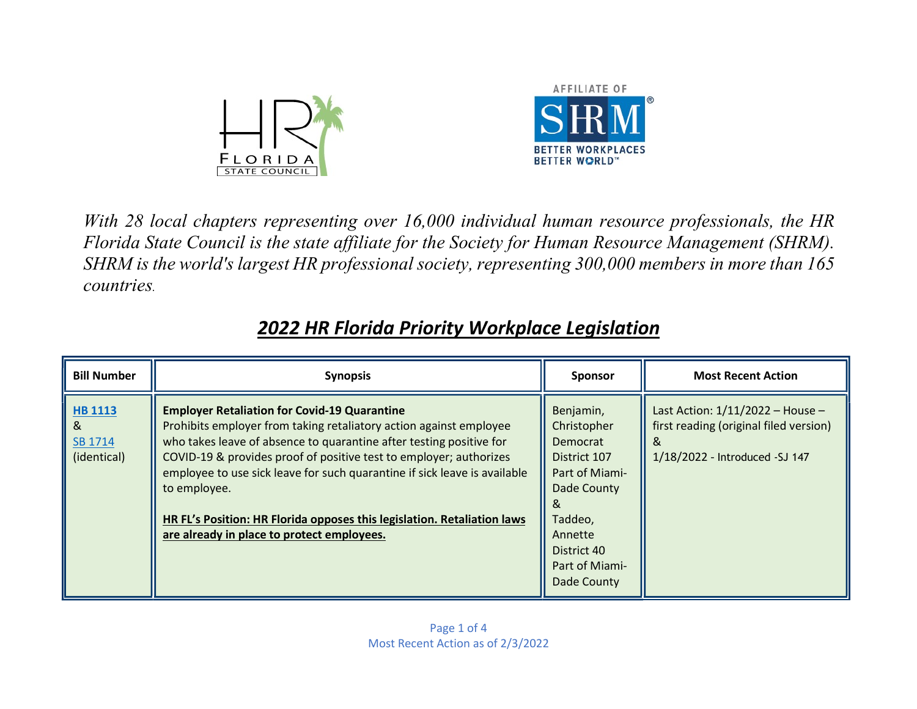



With 28 local chapters representing over 16,000 individual human resource professionals, the HR Florida State Council is the state affiliate for the Society for Human Resource Management (SHRM). SHRM is the world's largest HR professional society, representing 300,000 members in more than 165 countries.

| <b>Bill Number</b>                     | <b>Synopsis</b>                                                                                                                                                                                                                                                                                                                                                                                                                                                                              | <b>Sponsor</b>                                                                                                                                              | <b>Most Recent Action</b>                                                                                          |
|----------------------------------------|----------------------------------------------------------------------------------------------------------------------------------------------------------------------------------------------------------------------------------------------------------------------------------------------------------------------------------------------------------------------------------------------------------------------------------------------------------------------------------------------|-------------------------------------------------------------------------------------------------------------------------------------------------------------|--------------------------------------------------------------------------------------------------------------------|
| HB 1113<br>&<br>SB 1714<br>(identical) | <b>Employer Retaliation for Covid-19 Quarantine</b><br>Prohibits employer from taking retaliatory action against employee<br>who takes leave of absence to quarantine after testing positive for<br>COVID-19 & provides proof of positive test to employer; authorizes<br>employee to use sick leave for such quarantine if sick leave is available<br>to employee.<br>HR FL's Position: HR Florida opposes this legislation. Retaliation laws<br>are already in place to protect employees. | Benjamin,<br>Christopher<br>Democrat<br>District 107<br>Part of Miami-<br>Dade County<br>Taddeo,<br>Annette<br>District 40<br>Part of Miami-<br>Dade County | Last Action: 1/11/2022 - House -<br>first reading (original filed version)<br>&<br>1/18/2022 - Introduced - SJ 147 |

## 2022 HR Florida Priority Workplace Legislation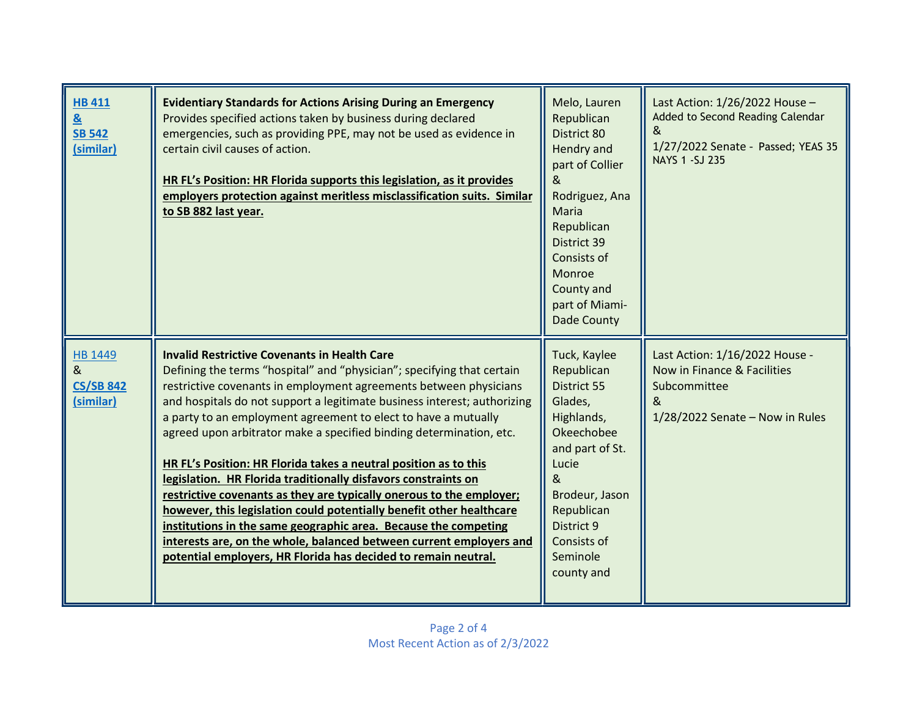| <b>HB 411</b><br>$\underline{8}$<br><b>SB 542</b><br>(similar) | <b>Evidentiary Standards for Actions Arising During an Emergency</b><br>Provides specified actions taken by business during declared<br>emergencies, such as providing PPE, may not be used as evidence in<br>certain civil causes of action.<br>HR FL's Position: HR Florida supports this legislation, as it provides<br>employers protection against meritless misclassification suits. Similar<br>to SB 882 last year.                                                                                                                                                                                                                                                                                                                                                                                                                                                                                                | Melo, Lauren<br>Republican<br>District 80<br>Hendry and<br>part of Collier<br>&<br>Rodriguez, Ana<br>Maria<br>Republican<br>District 39<br>Consists of<br>Monroe<br>County and<br>part of Miami-<br>Dade County | Last Action: 1/26/2022 House -<br>Added to Second Reading Calendar<br>&<br>1/27/2022 Senate - Passed; YEAS 35<br>NAYS 1 - SJ 235 |
|----------------------------------------------------------------|---------------------------------------------------------------------------------------------------------------------------------------------------------------------------------------------------------------------------------------------------------------------------------------------------------------------------------------------------------------------------------------------------------------------------------------------------------------------------------------------------------------------------------------------------------------------------------------------------------------------------------------------------------------------------------------------------------------------------------------------------------------------------------------------------------------------------------------------------------------------------------------------------------------------------|-----------------------------------------------------------------------------------------------------------------------------------------------------------------------------------------------------------------|----------------------------------------------------------------------------------------------------------------------------------|
| HB 1449<br>&<br><b>CS/SB 842</b><br>(similar)                  | <b>Invalid Restrictive Covenants in Health Care</b><br>Defining the terms "hospital" and "physician"; specifying that certain<br>restrictive covenants in employment agreements between physicians<br>and hospitals do not support a legitimate business interest; authorizing<br>a party to an employment agreement to elect to have a mutually<br>agreed upon arbitrator make a specified binding determination, etc.<br>HR FL's Position: HR Florida takes a neutral position as to this<br>legislation. HR Florida traditionally disfavors constraints on<br>restrictive covenants as they are typically onerous to the employer;<br>however, this legislation could potentially benefit other healthcare<br>institutions in the same geographic area. Because the competing<br>interests are, on the whole, balanced between current employers and<br>potential employers, HR Florida has decided to remain neutral. | Tuck, Kaylee<br>Republican<br>District 55<br>Glades,<br>Highlands,<br>Okeechobee<br>and part of St.<br>Lucie<br>&<br>Brodeur, Jason<br>Republican<br>District 9<br>Consists of<br>Seminole<br>county and        | Last Action: 1/16/2022 House -<br>Now in Finance & Facilities<br>Subcommittee<br>&<br>$1/28/2022$ Senate - Now in Rules          |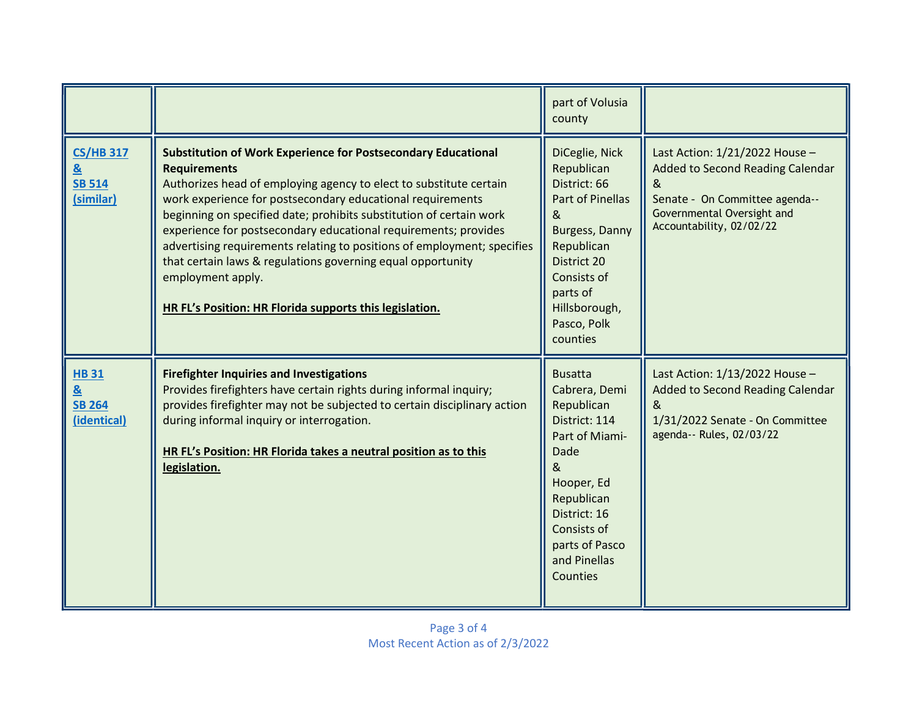|                                                     |                                                                                                                                                                                                                                                                                                                                                                                                                                                                                                                                                                                                     | part of Volusia<br>county                                                                                                                                                                              |                                                                                                                                                                     |
|-----------------------------------------------------|-----------------------------------------------------------------------------------------------------------------------------------------------------------------------------------------------------------------------------------------------------------------------------------------------------------------------------------------------------------------------------------------------------------------------------------------------------------------------------------------------------------------------------------------------------------------------------------------------------|--------------------------------------------------------------------------------------------------------------------------------------------------------------------------------------------------------|---------------------------------------------------------------------------------------------------------------------------------------------------------------------|
| <b>CS/HB 317</b><br>&<br><b>SB 514</b><br>(similar) | <b>Substitution of Work Experience for Postsecondary Educational</b><br><b>Requirements</b><br>Authorizes head of employing agency to elect to substitute certain<br>work experience for postsecondary educational requirements<br>beginning on specified date; prohibits substitution of certain work<br>experience for postsecondary educational requirements; provides<br>advertising requirements relating to positions of employment; specifies<br>that certain laws & regulations governing equal opportunity<br>employment apply.<br>HR FL's Position: HR Florida supports this legislation. | DiCeglie, Nick<br>Republican<br>District: 66<br>Part of Pinellas<br>&<br>Burgess, Danny<br>Republican<br>District 20<br>Consists of<br>parts of<br>Hillsborough,<br>Pasco, Polk<br>counties            | Last Action: 1/21/2022 House -<br>Added to Second Reading Calendar<br>&<br>Senate - On Committee agenda--<br>Governmental Oversight and<br>Accountability, 02/02/22 |
| <b>HB31</b><br>&<br><b>SB 264</b><br>(identical)    | <b>Firefighter Inquiries and Investigations</b><br>Provides firefighters have certain rights during informal inquiry;<br>provides firefighter may not be subjected to certain disciplinary action<br>during informal inquiry or interrogation.<br>HR FL's Position: HR Florida takes a neutral position as to this<br>legislation.                                                                                                                                                                                                                                                                  | <b>Busatta</b><br>Cabrera, Demi<br>Republican<br>District: 114<br>Part of Miami-<br>Dade<br>&<br>Hooper, Ed<br>Republican<br>District: 16<br>Consists of<br>parts of Pasco<br>and Pinellas<br>Counties | Last Action: 1/13/2022 House -<br>Added to Second Reading Calendar<br>&<br>1/31/2022 Senate - On Committee<br>agenda-- Rules, 02/03/22                              |